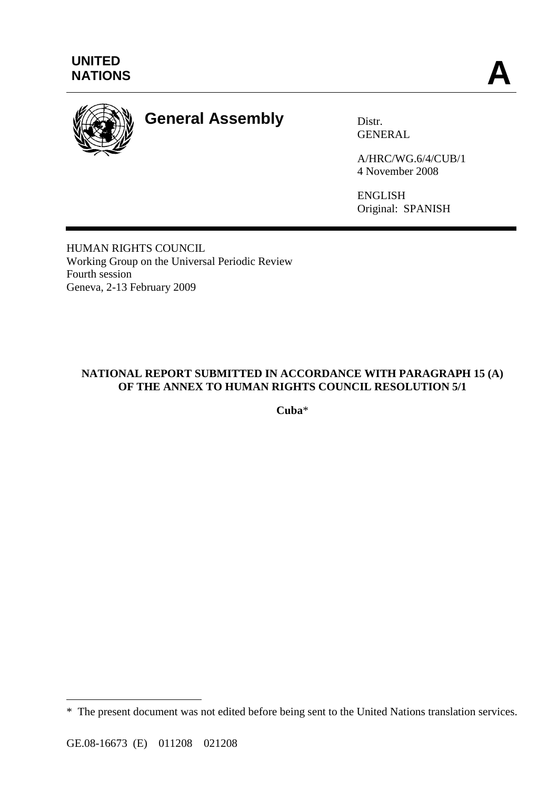

# **General Assembly** Distr.

GENERAL

A/HRC/WG.6/4/CUB/1 4 November 2008

ENGLISH Original: SPANISH

HUMAN RIGHTS COUNCIL Working Group on the Universal Periodic Review Fourth session Geneva, 2-13 February 2009

## **NATIONAL REPORT SUBMITTED IN ACCORDANCE WITH PARAGRAPH 15 (A) OF THE ANNEX TO HUMAN RIGHTS COUNCIL RESOLUTION 5/1**

**Cuba**\*

 $\overline{a}$ 

<sup>\*</sup> The present document was not edited before being sent to the United Nations translation services.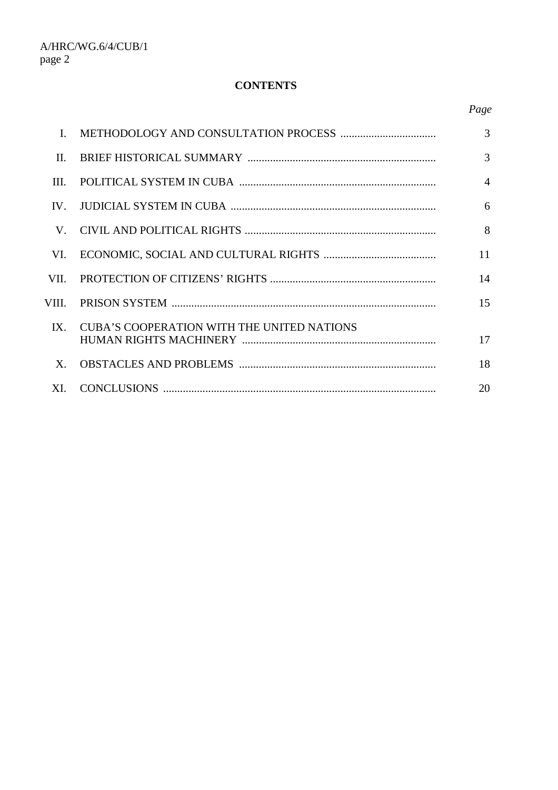## **CONTENTS**

| L.         |                                                   | 3              |
|------------|---------------------------------------------------|----------------|
| $\Pi$      |                                                   | 3              |
| <b>III</b> |                                                   | $\overline{4}$ |
| $IV_{-}$   |                                                   | 6              |
| V.         |                                                   | 8              |
| VL.        |                                                   | 11             |
| VII.       |                                                   | 14             |
| VIII.      |                                                   | 15             |
| $IX_{-}$   | <b>CUBA'S COOPERATION WITH THE UNITED NATIONS</b> | 17             |
| $X_{-}$    |                                                   | 18             |
| XI.        |                                                   | 20             |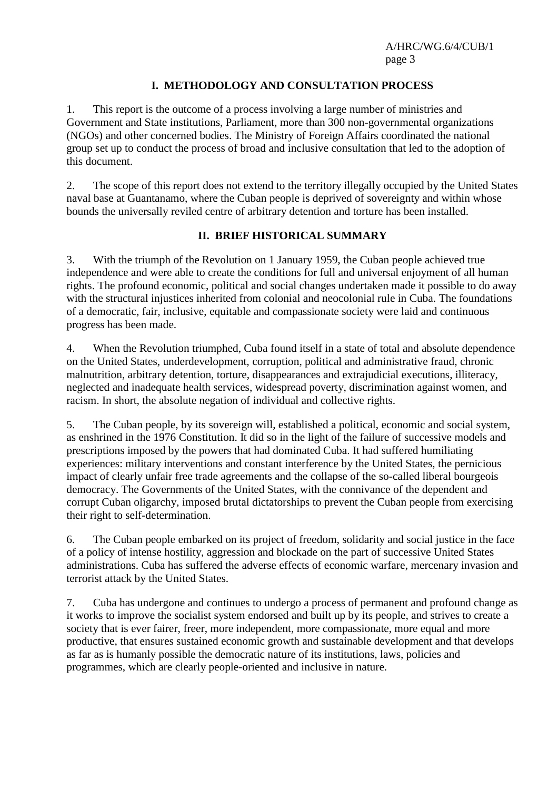## **I. METHODOLOGY AND CONSULTATION PROCESS**

1. This report is the outcome of a process involving a large number of ministries and Government and State institutions, Parliament, more than 300 non-governmental organizations (NGOs) and other concerned bodies. The Ministry of Foreign Affairs coordinated the national group set up to conduct the process of broad and inclusive consultation that led to the adoption of this document.

2. The scope of this report does not extend to the territory illegally occupied by the United States naval base at Guantanamo, where the Cuban people is deprived of sovereignty and within whose bounds the universally reviled centre of arbitrary detention and torture has been installed.

### **II. BRIEF HISTORICAL SUMMARY**

3. With the triumph of the Revolution on 1 January 1959, the Cuban people achieved true independence and were able to create the conditions for full and universal enjoyment of all human rights. The profound economic, political and social changes undertaken made it possible to do away with the structural injustices inherited from colonial and neocolonial rule in Cuba. The foundations of a democratic, fair, inclusive, equitable and compassionate society were laid and continuous progress has been made.

4. When the Revolution triumphed, Cuba found itself in a state of total and absolute dependence on the United States, underdevelopment, corruption, political and administrative fraud, chronic malnutrition, arbitrary detention, torture, disappearances and extrajudicial executions, illiteracy, neglected and inadequate health services, widespread poverty, discrimination against women, and racism. In short, the absolute negation of individual and collective rights.

5. The Cuban people, by its sovereign will, established a political, economic and social system, as enshrined in the 1976 Constitution. It did so in the light of the failure of successive models and prescriptions imposed by the powers that had dominated Cuba. It had suffered humiliating experiences: military interventions and constant interference by the United States, the pernicious impact of clearly unfair free trade agreements and the collapse of the so-called liberal bourgeois democracy. The Governments of the United States, with the connivance of the dependent and corrupt Cuban oligarchy, imposed brutal dictatorships to prevent the Cuban people from exercising their right to self-determination.

6. The Cuban people embarked on its project of freedom, solidarity and social justice in the face of a policy of intense hostility, aggression and blockade on the part of successive United States administrations. Cuba has suffered the adverse effects of economic warfare, mercenary invasion and terrorist attack by the United States.

7. Cuba has undergone and continues to undergo a process of permanent and profound change as it works to improve the socialist system endorsed and built up by its people, and strives to create a society that is ever fairer, freer, more independent, more compassionate, more equal and more productive, that ensures sustained economic growth and sustainable development and that develops as far as is humanly possible the democratic nature of its institutions, laws, policies and programmes, which are clearly people-oriented and inclusive in nature.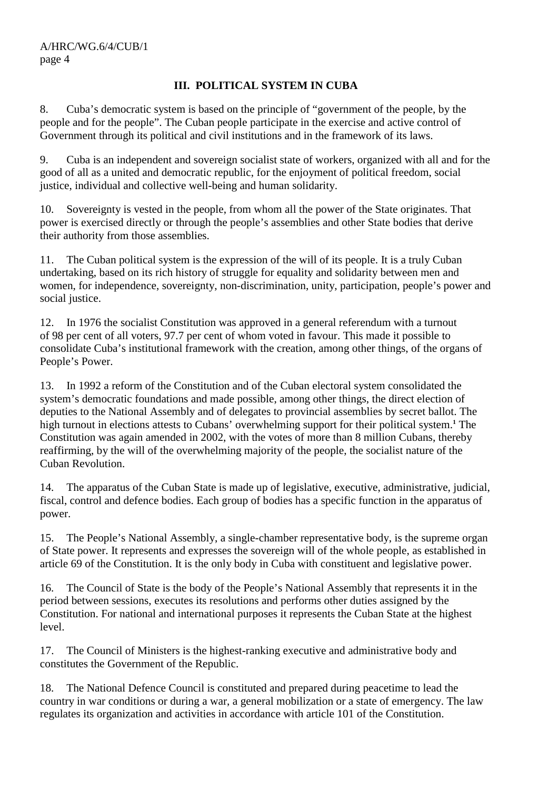## **III. POLITICAL SYSTEM IN CUBA**

8. Cuba's democratic system is based on the principle of "government of the people, by the people and for the people". The Cuban people participate in the exercise and active control of Government through its political and civil institutions and in the framework of its laws.

9. Cuba is an independent and sovereign socialist state of workers, organized with all and for the good of all as a united and democratic republic, for the enjoyment of political freedom, social justice, individual and collective well-being and human solidarity.

10. Sovereignty is vested in the people, from whom all the power of the State originates. That power is exercised directly or through the people's assemblies and other State bodies that derive their authority from those assemblies.

11. The Cuban political system is the expression of the will of its people. It is a truly Cuban undertaking, based on its rich history of struggle for equality and solidarity between men and women, for independence, sovereignty, non-discrimination, unity, participation, people's power and social justice.

12. In 1976 the socialist Constitution was approved in a general referendum with a turnout of 98 per cent of all voters, 97.7 per cent of whom voted in favour. This made it possible to consolidate Cuba's institutional framework with the creation, among other things, of the organs of People's Power.

13. In 1992 a reform of the Constitution and of the Cuban electoral system consolidated the system's democratic foundations and made possible, among other things, the direct election of deputies to the National Assembly and of delegates to provincial assemblies by secret ballot. The high turnout in elections attests to Cubans' overwhelming support for their political system.**<sup>1</sup>** The Constitution was again amended in 2002, with the votes of more than 8 million Cubans, thereby reaffirming, by the will of the overwhelming majority of the people, the socialist nature of the Cuban Revolution.

14. The apparatus of the Cuban State is made up of legislative, executive, administrative, judicial, fiscal, control and defence bodies. Each group of bodies has a specific function in the apparatus of power.

15. The People's National Assembly, a single-chamber representative body, is the supreme organ of State power. It represents and expresses the sovereign will of the whole people, as established in article 69 of the Constitution. It is the only body in Cuba with constituent and legislative power.

16. The Council of State is the body of the People's National Assembly that represents it in the period between sessions, executes its resolutions and performs other duties assigned by the Constitution. For national and international purposes it represents the Cuban State at the highest level.

17. The Council of Ministers is the highest-ranking executive and administrative body and constitutes the Government of the Republic.

18. The National Defence Council is constituted and prepared during peacetime to lead the country in war conditions or during a war, a general mobilization or a state of emergency. The law regulates its organization and activities in accordance with article 101 of the Constitution.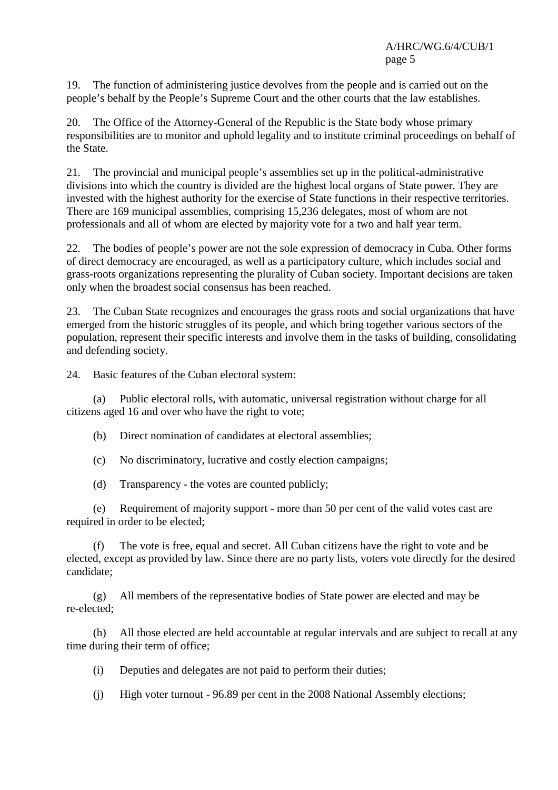19. The function of administering justice devolves from the people and is carried out on the people's behalf by the People's Supreme Court and the other courts that the law establishes.

20. The Office of the Attorney-General of the Republic is the State body whose primary responsibilities are to monitor and uphold legality and to institute criminal proceedings on behalf of the State.

21. The provincial and municipal people's assemblies set up in the political-administrative divisions into which the country is divided are the highest local organs of State power. They are invested with the highest authority for the exercise of State functions in their respective territories. There are 169 municipal assemblies, comprising 15,236 delegates, most of whom are not professionals and all of whom are elected by majority vote for a two and half year term.

22. The bodies of people's power are not the sole expression of democracy in Cuba. Other forms of direct democracy are encouraged, as well as a participatory culture, which includes social and grass-roots organizations representing the plurality of Cuban society. Important decisions are taken only when the broadest social consensus has been reached.

23. The Cuban State recognizes and encourages the grass roots and social organizations that have emerged from the historic struggles of its people, and which bring together various sectors of the population, represent their specific interests and involve them in the tasks of building, consolidating and defending society.

24. Basic features of the Cuban electoral system:

 (a) Public electoral rolls, with automatic, universal registration without charge for all citizens aged 16 and over who have the right to vote;

(b) Direct nomination of candidates at electoral assemblies;

(c) No discriminatory, lucrative and costly election campaigns;

(d) Transparency - the votes are counted publicly;

 (e) Requirement of majority support - more than 50 per cent of the valid votes cast are required in order to be elected;

 (f) The vote is free, equal and secret. All Cuban citizens have the right to vote and be elected, except as provided by law. Since there are no party lists, voters vote directly for the desired candidate;

 (g) All members of the representative bodies of State power are elected and may be re-elected;

 (h) All those elected are held accountable at regular intervals and are subject to recall at any time during their term of office;

- (i) Deputies and delegates are not paid to perform their duties;
- (j) High voter turnout 96.89 per cent in the 2008 National Assembly elections;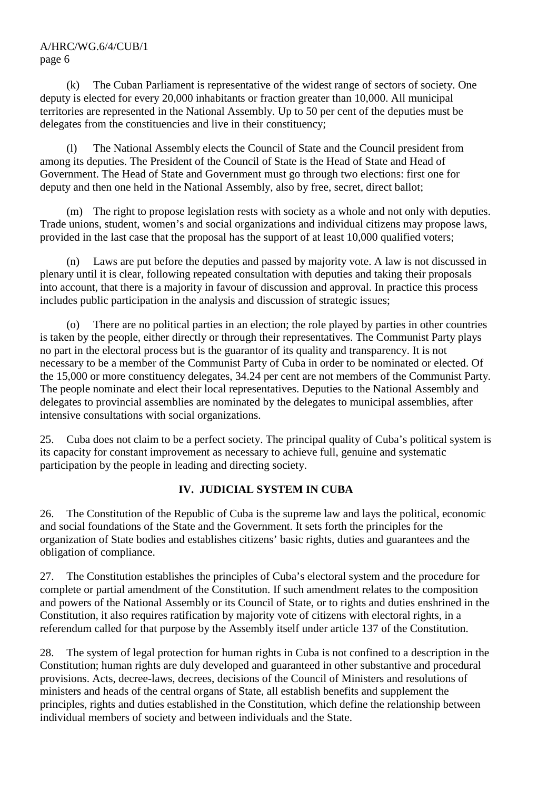(k) The Cuban Parliament is representative of the widest range of sectors of society. One deputy is elected for every 20,000 inhabitants or fraction greater than 10,000. All municipal territories are represented in the National Assembly. Up to 50 per cent of the deputies must be delegates from the constituencies and live in their constituency;

 (l) The National Assembly elects the Council of State and the Council president from among its deputies. The President of the Council of State is the Head of State and Head of Government. The Head of State and Government must go through two elections: first one for deputy and then one held in the National Assembly, also by free, secret, direct ballot;

 (m) The right to propose legislation rests with society as a whole and not only with deputies. Trade unions, student, women's and social organizations and individual citizens may propose laws, provided in the last case that the proposal has the support of at least 10,000 qualified voters;

 (n) Laws are put before the deputies and passed by majority vote. A law is not discussed in plenary until it is clear, following repeated consultation with deputies and taking their proposals into account, that there is a majority in favour of discussion and approval. In practice this process includes public participation in the analysis and discussion of strategic issues;

 (o) There are no political parties in an election; the role played by parties in other countries is taken by the people, either directly or through their representatives. The Communist Party plays no part in the electoral process but is the guarantor of its quality and transparency. It is not necessary to be a member of the Communist Party of Cuba in order to be nominated or elected. Of the 15,000 or more constituency delegates, 34.24 per cent are not members of the Communist Party. The people nominate and elect their local representatives. Deputies to the National Assembly and delegates to provincial assemblies are nominated by the delegates to municipal assemblies, after intensive consultations with social organizations.

25. Cuba does not claim to be a perfect society. The principal quality of Cuba's political system is its capacity for constant improvement as necessary to achieve full, genuine and systematic participation by the people in leading and directing society.

## **IV. JUDICIAL SYSTEM IN CUBA**

26. The Constitution of the Republic of Cuba is the supreme law and lays the political, economic and social foundations of the State and the Government. It sets forth the principles for the organization of State bodies and establishes citizens' basic rights, duties and guarantees and the obligation of compliance.

27. The Constitution establishes the principles of Cuba's electoral system and the procedure for complete or partial amendment of the Constitution. If such amendment relates to the composition and powers of the National Assembly or its Council of State, or to rights and duties enshrined in the Constitution, it also requires ratification by majority vote of citizens with electoral rights, in a referendum called for that purpose by the Assembly itself under article 137 of the Constitution.

28. The system of legal protection for human rights in Cuba is not confined to a description in the Constitution; human rights are duly developed and guaranteed in other substantive and procedural provisions. Acts, decree-laws, decrees, decisions of the Council of Ministers and resolutions of ministers and heads of the central organs of State, all establish benefits and supplement the principles, rights and duties established in the Constitution, which define the relationship between individual members of society and between individuals and the State.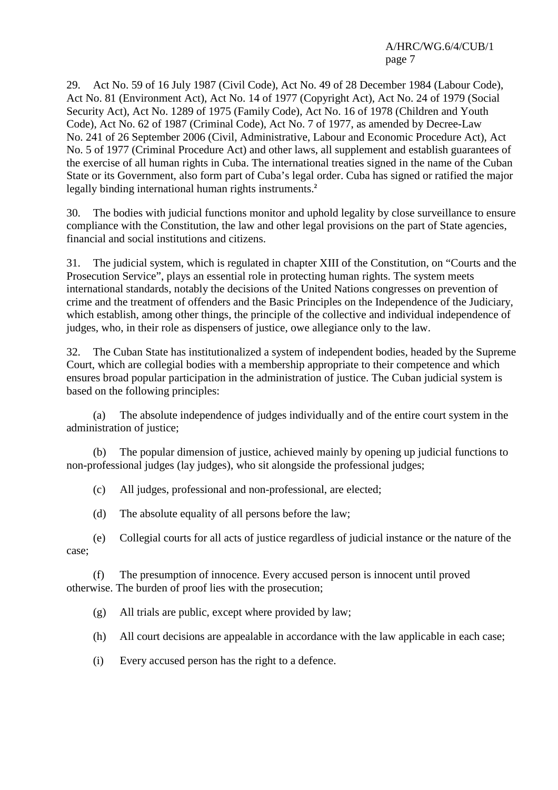29. Act No. 59 of 16 July 1987 (Civil Code), Act No. 49 of 28 December 1984 (Labour Code), Act No. 81 (Environment Act), Act No. 14 of 1977 (Copyright Act), Act No. 24 of 1979 (Social Security Act), Act No. 1289 of 1975 (Family Code), Act No. 16 of 1978 (Children and Youth Code), Act No. 62 of 1987 (Criminal Code), Act No. 7 of 1977, as amended by Decree-Law No. 241 of 26 September 2006 (Civil, Administrative, Labour and Economic Procedure Act), Act No. 5 of 1977 (Criminal Procedure Act) and other laws, all supplement and establish guarantees of the exercise of all human rights in Cuba. The international treaties signed in the name of the Cuban State or its Government, also form part of Cuba's legal order. Cuba has signed or ratified the major legally binding international human rights instruments.**<sup>2</sup>**

30. The bodies with judicial functions monitor and uphold legality by close surveillance to ensure compliance with the Constitution, the law and other legal provisions on the part of State agencies, financial and social institutions and citizens.

31. The judicial system, which is regulated in chapter XIII of the Constitution, on "Courts and the Prosecution Service", plays an essential role in protecting human rights. The system meets international standards, notably the decisions of the United Nations congresses on prevention of crime and the treatment of offenders and the Basic Principles on the Independence of the Judiciary, which establish, among other things, the principle of the collective and individual independence of judges, who, in their role as dispensers of justice, owe allegiance only to the law.

32. The Cuban State has institutionalized a system of independent bodies, headed by the Supreme Court, which are collegial bodies with a membership appropriate to their competence and which ensures broad popular participation in the administration of justice. The Cuban judicial system is based on the following principles:

 (a) The absolute independence of judges individually and of the entire court system in the administration of justice;

 (b) The popular dimension of justice, achieved mainly by opening up judicial functions to non-professional judges (lay judges), who sit alongside the professional judges;

(c) All judges, professional and non-professional, are elected;

(d) The absolute equality of all persons before the law;

 (e) Collegial courts for all acts of justice regardless of judicial instance or the nature of the case;

 (f) The presumption of innocence. Every accused person is innocent until proved otherwise. The burden of proof lies with the prosecution;

(g) All trials are public, except where provided by law;

(h) All court decisions are appealable in accordance with the law applicable in each case;

(i) Every accused person has the right to a defence.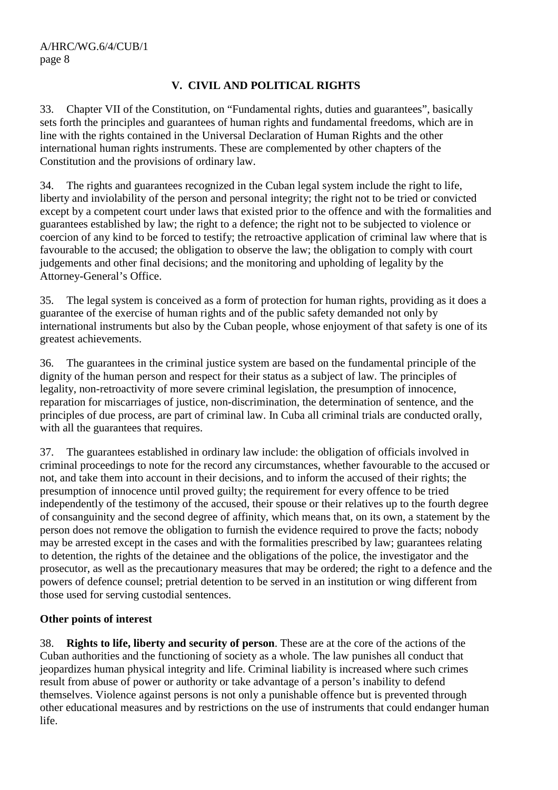## **V. CIVIL AND POLITICAL RIGHTS**

33. Chapter VII of the Constitution, on "Fundamental rights, duties and guarantees", basically sets forth the principles and guarantees of human rights and fundamental freedoms, which are in line with the rights contained in the Universal Declaration of Human Rights and the other international human rights instruments. These are complemented by other chapters of the Constitution and the provisions of ordinary law.

34. The rights and guarantees recognized in the Cuban legal system include the right to life, liberty and inviolability of the person and personal integrity; the right not to be tried or convicted except by a competent court under laws that existed prior to the offence and with the formalities and guarantees established by law; the right to a defence; the right not to be subjected to violence or coercion of any kind to be forced to testify; the retroactive application of criminal law where that is favourable to the accused; the obligation to observe the law; the obligation to comply with court judgements and other final decisions; and the monitoring and upholding of legality by the Attorney-General's Office.

35. The legal system is conceived as a form of protection for human rights, providing as it does a guarantee of the exercise of human rights and of the public safety demanded not only by international instruments but also by the Cuban people, whose enjoyment of that safety is one of its greatest achievements.

36. The guarantees in the criminal justice system are based on the fundamental principle of the dignity of the human person and respect for their status as a subject of law. The principles of legality, non-retroactivity of more severe criminal legislation, the presumption of innocence, reparation for miscarriages of justice, non-discrimination, the determination of sentence, and the principles of due process, are part of criminal law. In Cuba all criminal trials are conducted orally, with all the guarantees that requires.

37. The guarantees established in ordinary law include: the obligation of officials involved in criminal proceedings to note for the record any circumstances, whether favourable to the accused or not, and take them into account in their decisions, and to inform the accused of their rights; the presumption of innocence until proved guilty; the requirement for every offence to be tried independently of the testimony of the accused, their spouse or their relatives up to the fourth degree of consanguinity and the second degree of affinity, which means that, on its own, a statement by the person does not remove the obligation to furnish the evidence required to prove the facts; nobody may be arrested except in the cases and with the formalities prescribed by law; guarantees relating to detention, the rights of the detainee and the obligations of the police, the investigator and the prosecutor, as well as the precautionary measures that may be ordered; the right to a defence and the powers of defence counsel; pretrial detention to be served in an institution or wing different from those used for serving custodial sentences.

### **Other points of interest**

38. **Rights to life, liberty and security of person**. These are at the core of the actions of the Cuban authorities and the functioning of society as a whole. The law punishes all conduct that jeopardizes human physical integrity and life. Criminal liability is increased where such crimes result from abuse of power or authority or take advantage of a person's inability to defend themselves. Violence against persons is not only a punishable offence but is prevented through other educational measures and by restrictions on the use of instruments that could endanger human life.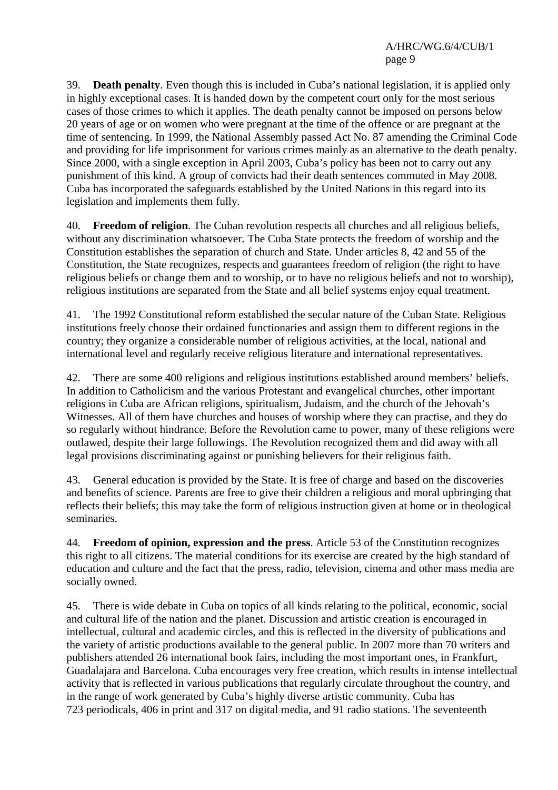39. **Death penalty**. Even though this is included in Cuba's national legislation, it is applied only in highly exceptional cases. It is handed down by the competent court only for the most serious cases of those crimes to which it applies. The death penalty cannot be imposed on persons below 20 years of age or on women who were pregnant at the time of the offence or are pregnant at the time of sentencing. In 1999, the National Assembly passed Act No. 87 amending the Criminal Code and providing for life imprisonment for various crimes mainly as an alternative to the death penalty. Since 2000, with a single exception in April 2003, Cuba's policy has been not to carry out any punishment of this kind. A group of convicts had their death sentences commuted in May 2008. Cuba has incorporated the safeguards established by the United Nations in this regard into its legislation and implements them fully.

40. **Freedom of religion**. The Cuban revolution respects all churches and all religious beliefs, without any discrimination whatsoever. The Cuba State protects the freedom of worship and the Constitution establishes the separation of church and State. Under articles 8, 42 and 55 of the Constitution, the State recognizes, respects and guarantees freedom of religion (the right to have religious beliefs or change them and to worship, or to have no religious beliefs and not to worship), religious institutions are separated from the State and all belief systems enjoy equal treatment.

41. The 1992 Constitutional reform established the secular nature of the Cuban State. Religious institutions freely choose their ordained functionaries and assign them to different regions in the country; they organize a considerable number of religious activities, at the local, national and international level and regularly receive religious literature and international representatives.

42. There are some 400 religions and religious institutions established around members' beliefs. In addition to Catholicism and the various Protestant and evangelical churches, other important religions in Cuba are African religions, spiritualism, Judaism, and the church of the Jehovah's Witnesses. All of them have churches and houses of worship where they can practise, and they do so regularly without hindrance. Before the Revolution came to power, many of these religions were outlawed, despite their large followings. The Revolution recognized them and did away with all legal provisions discriminating against or punishing believers for their religious faith.

43. General education is provided by the State. It is free of charge and based on the discoveries and benefits of science. Parents are free to give their children a religious and moral upbringing that reflects their beliefs; this may take the form of religious instruction given at home or in theological seminaries.

44. **Freedom of opinion, expression and the press**. Article 53 of the Constitution recognizes this right to all citizens. The material conditions for its exercise are created by the high standard of education and culture and the fact that the press, radio, television, cinema and other mass media are socially owned.

45. There is wide debate in Cuba on topics of all kinds relating to the political, economic, social and cultural life of the nation and the planet. Discussion and artistic creation is encouraged in intellectual, cultural and academic circles, and this is reflected in the diversity of publications and the variety of artistic productions available to the general public. In 2007 more than 70 writers and publishers attended 26 international book fairs, including the most important ones, in Frankfurt, Guadalajara and Barcelona. Cuba encourages very free creation, which results in intense intellectual activity that is reflected in various publications that regularly circulate throughout the country, and in the range of work generated by Cuba's highly diverse artistic community. Cuba has 723 periodicals, 406 in print and 317 on digital media, and 91 radio stations. The seventeenth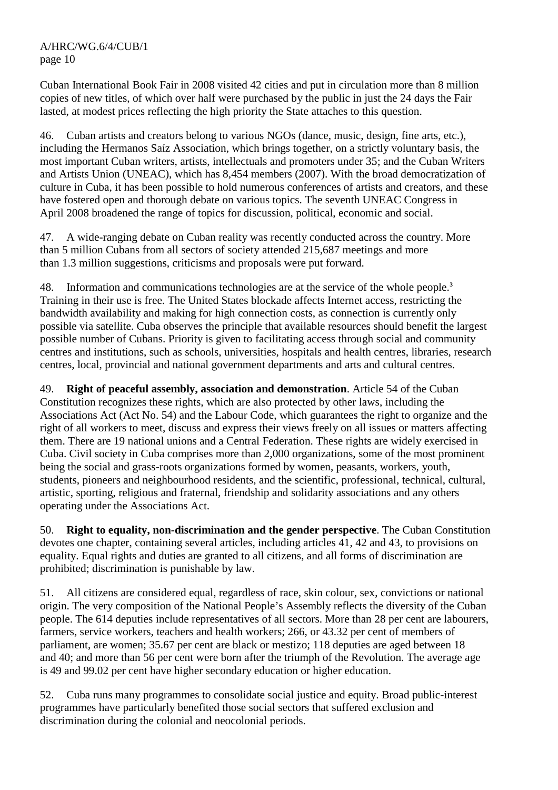Cuban International Book Fair in 2008 visited 42 cities and put in circulation more than 8 million copies of new titles, of which over half were purchased by the public in just the 24 days the Fair lasted, at modest prices reflecting the high priority the State attaches to this question.

46. Cuban artists and creators belong to various NGOs (dance, music, design, fine arts, etc.), including the Hermanos Saíz Association, which brings together, on a strictly voluntary basis, the most important Cuban writers, artists, intellectuals and promoters under 35; and the Cuban Writers and Artists Union (UNEAC), which has 8,454 members (2007). With the broad democratization of culture in Cuba, it has been possible to hold numerous conferences of artists and creators, and these have fostered open and thorough debate on various topics. The seventh UNEAC Congress in April 2008 broadened the range of topics for discussion, political, economic and social.

47. A wide-ranging debate on Cuban reality was recently conducted across the country. More than 5 million Cubans from all sectors of society attended 215,687 meetings and more than 1.3 million suggestions, criticisms and proposals were put forward.

48. Information and communications technologies are at the service of the whole people.**<sup>3</sup>** Training in their use is free. The United States blockade affects Internet access, restricting the bandwidth availability and making for high connection costs, as connection is currently only possible via satellite. Cuba observes the principle that available resources should benefit the largest possible number of Cubans. Priority is given to facilitating access through social and community centres and institutions, such as schools, universities, hospitals and health centres, libraries, research centres, local, provincial and national government departments and arts and cultural centres.

49. **Right of peaceful assembly, association and demonstration**. Article 54 of the Cuban Constitution recognizes these rights, which are also protected by other laws, including the Associations Act (Act No. 54) and the Labour Code, which guarantees the right to organize and the right of all workers to meet, discuss and express their views freely on all issues or matters affecting them. There are 19 national unions and a Central Federation. These rights are widely exercised in Cuba. Civil society in Cuba comprises more than 2,000 organizations, some of the most prominent being the social and grass-roots organizations formed by women, peasants, workers, youth, students, pioneers and neighbourhood residents, and the scientific, professional, technical, cultural, artistic, sporting, religious and fraternal, friendship and solidarity associations and any others operating under the Associations Act.

50. **Right to equality, non-discrimination and the gender perspective**. The Cuban Constitution devotes one chapter, containing several articles, including articles 41, 42 and 43, to provisions on equality. Equal rights and duties are granted to all citizens, and all forms of discrimination are prohibited; discrimination is punishable by law.

51. All citizens are considered equal, regardless of race, skin colour, sex, convictions or national origin. The very composition of the National People's Assembly reflects the diversity of the Cuban people. The 614 deputies include representatives of all sectors. More than 28 per cent are labourers, farmers, service workers, teachers and health workers; 266, or 43.32 per cent of members of parliament, are women; 35.67 per cent are black or mestizo; 118 deputies are aged between 18 and 40; and more than 56 per cent were born after the triumph of the Revolution. The average age is 49 and 99.02 per cent have higher secondary education or higher education.

52. Cuba runs many programmes to consolidate social justice and equity. Broad public-interest programmes have particularly benefited those social sectors that suffered exclusion and discrimination during the colonial and neocolonial periods.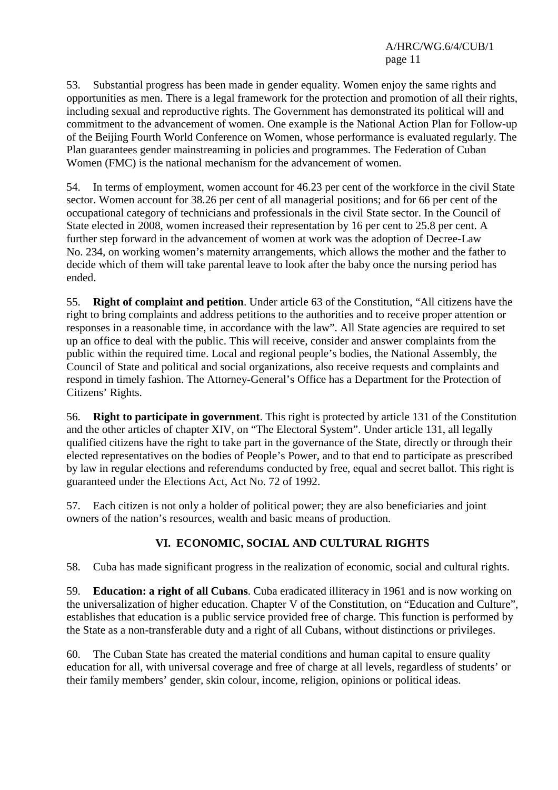53. Substantial progress has been made in gender equality. Women enjoy the same rights and opportunities as men. There is a legal framework for the protection and promotion of all their rights, including sexual and reproductive rights. The Government has demonstrated its political will and commitment to the advancement of women. One example is the National Action Plan for Follow-up of the Beijing Fourth World Conference on Women, whose performance is evaluated regularly. The Plan guarantees gender mainstreaming in policies and programmes. The Federation of Cuban Women (FMC) is the national mechanism for the advancement of women.

54. In terms of employment, women account for 46.23 per cent of the workforce in the civil State sector. Women account for 38.26 per cent of all managerial positions; and for 66 per cent of the occupational category of technicians and professionals in the civil State sector. In the Council of State elected in 2008, women increased their representation by 16 per cent to 25.8 per cent. A further step forward in the advancement of women at work was the adoption of Decree-Law No. 234, on working women's maternity arrangements, which allows the mother and the father to decide which of them will take parental leave to look after the baby once the nursing period has ended.

55. **Right of complaint and petition**. Under article 63 of the Constitution, "All citizens have the right to bring complaints and address petitions to the authorities and to receive proper attention or responses in a reasonable time, in accordance with the law". All State agencies are required to set up an office to deal with the public. This will receive, consider and answer complaints from the public within the required time. Local and regional people's bodies, the National Assembly, the Council of State and political and social organizations, also receive requests and complaints and respond in timely fashion. The Attorney-General's Office has a Department for the Protection of Citizens' Rights.

56. **Right to participate in government**. This right is protected by article 131 of the Constitution and the other articles of chapter XIV, on "The Electoral System". Under article 131, all legally qualified citizens have the right to take part in the governance of the State, directly or through their elected representatives on the bodies of People's Power, and to that end to participate as prescribed by law in regular elections and referendums conducted by free, equal and secret ballot. This right is guaranteed under the Elections Act, Act No. 72 of 1992.

57. Each citizen is not only a holder of political power; they are also beneficiaries and joint owners of the nation's resources, wealth and basic means of production.

## **VI. ECONOMIC, SOCIAL AND CULTURAL RIGHTS**

58. Cuba has made significant progress in the realization of economic, social and cultural rights.

59. **Education: a right of all Cubans**. Cuba eradicated illiteracy in 1961 and is now working on the universalization of higher education. Chapter V of the Constitution, on "Education and Culture", establishes that education is a public service provided free of charge. This function is performed by the State as a non-transferable duty and a right of all Cubans, without distinctions or privileges.

60. The Cuban State has created the material conditions and human capital to ensure quality education for all, with universal coverage and free of charge at all levels, regardless of students' or their family members' gender, skin colour, income, religion, opinions or political ideas.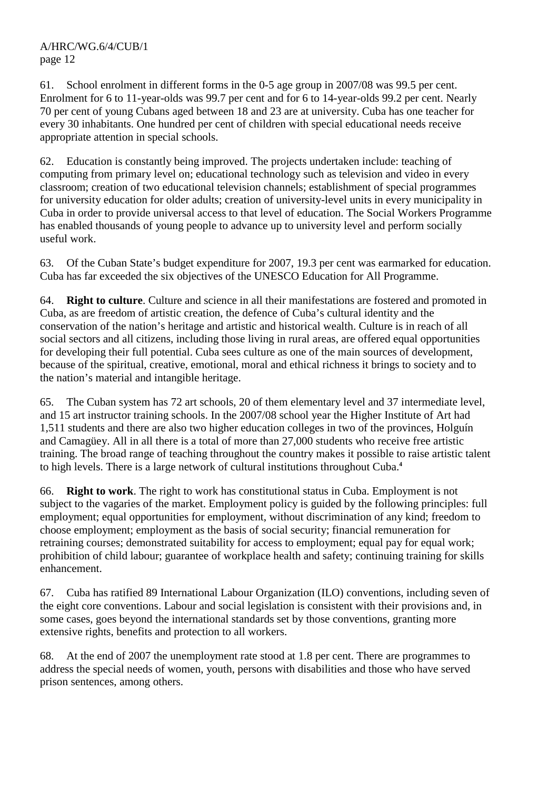61. School enrolment in different forms in the 0-5 age group in 2007/08 was 99.5 per cent. Enrolment for 6 to 11-year-olds was 99.7 per cent and for 6 to 14-year-olds 99.2 per cent. Nearly 70 per cent of young Cubans aged between 18 and 23 are at university. Cuba has one teacher for every 30 inhabitants. One hundred per cent of children with special educational needs receive appropriate attention in special schools.

62. Education is constantly being improved. The projects undertaken include: teaching of computing from primary level on; educational technology such as television and video in every classroom; creation of two educational television channels; establishment of special programmes for university education for older adults; creation of university-level units in every municipality in Cuba in order to provide universal access to that level of education. The Social Workers Programme has enabled thousands of young people to advance up to university level and perform socially useful work.

63. Of the Cuban State's budget expenditure for 2007, 19.3 per cent was earmarked for education. Cuba has far exceeded the six objectives of the UNESCO Education for All Programme.

64. **Right to culture**. Culture and science in all their manifestations are fostered and promoted in Cuba, as are freedom of artistic creation, the defence of Cuba's cultural identity and the conservation of the nation's heritage and artistic and historical wealth. Culture is in reach of all social sectors and all citizens, including those living in rural areas, are offered equal opportunities for developing their full potential. Cuba sees culture as one of the main sources of development, because of the spiritual, creative, emotional, moral and ethical richness it brings to society and to the nation's material and intangible heritage.

65. The Cuban system has 72 art schools, 20 of them elementary level and 37 intermediate level, and 15 art instructor training schools. In the 2007/08 school year the Higher Institute of Art had 1,511 students and there are also two higher education colleges in two of the provinces, Holguín and Camagüey. All in all there is a total of more than 27,000 students who receive free artistic training. The broad range of teaching throughout the country makes it possible to raise artistic talent to high levels. There is a large network of cultural institutions throughout Cuba.**<sup>4</sup>**

66. **Right to work**. The right to work has constitutional status in Cuba. Employment is not subject to the vagaries of the market. Employment policy is guided by the following principles: full employment; equal opportunities for employment, without discrimination of any kind; freedom to choose employment; employment as the basis of social security; financial remuneration for retraining courses; demonstrated suitability for access to employment; equal pay for equal work; prohibition of child labour; guarantee of workplace health and safety; continuing training for skills enhancement.

67. Cuba has ratified 89 International Labour Organization (ILO) conventions, including seven of the eight core conventions. Labour and social legislation is consistent with their provisions and, in some cases, goes beyond the international standards set by those conventions, granting more extensive rights, benefits and protection to all workers.

68. At the end of 2007 the unemployment rate stood at 1.8 per cent. There are programmes to address the special needs of women, youth, persons with disabilities and those who have served prison sentences, among others.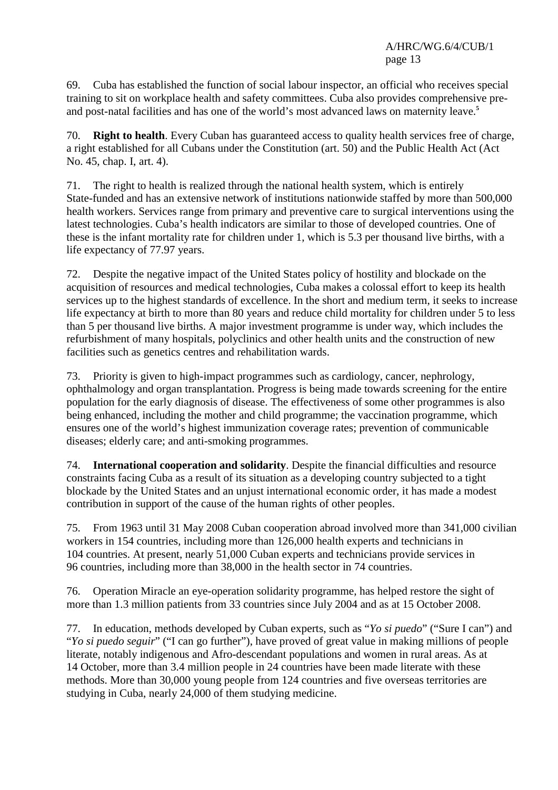69. Cuba has established the function of social labour inspector, an official who receives special training to sit on workplace health and safety committees. Cuba also provides comprehensive preand post-natal facilities and has one of the world's most advanced laws on maternity leave.**<sup>5</sup>**

70. **Right to health**. Every Cuban has guaranteed access to quality health services free of charge, a right established for all Cubans under the Constitution (art. 50) and the Public Health Act (Act No. 45, chap. I, art. 4).

71. The right to health is realized through the national health system, which is entirely State-funded and has an extensive network of institutions nationwide staffed by more than 500,000 health workers. Services range from primary and preventive care to surgical interventions using the latest technologies. Cuba's health indicators are similar to those of developed countries. One of these is the infant mortality rate for children under 1, which is 5.3 per thousand live births, with a life expectancy of 77.97 years.

72. Despite the negative impact of the United States policy of hostility and blockade on the acquisition of resources and medical technologies, Cuba makes a colossal effort to keep its health services up to the highest standards of excellence. In the short and medium term, it seeks to increase life expectancy at birth to more than 80 years and reduce child mortality for children under 5 to less than 5 per thousand live births. A major investment programme is under way, which includes the refurbishment of many hospitals, polyclinics and other health units and the construction of new facilities such as genetics centres and rehabilitation wards.

73. Priority is given to high-impact programmes such as cardiology, cancer, nephrology, ophthalmology and organ transplantation. Progress is being made towards screening for the entire population for the early diagnosis of disease. The effectiveness of some other programmes is also being enhanced, including the mother and child programme; the vaccination programme, which ensures one of the world's highest immunization coverage rates; prevention of communicable diseases; elderly care; and anti-smoking programmes.

74. **International cooperation and solidarity**. Despite the financial difficulties and resource constraints facing Cuba as a result of its situation as a developing country subjected to a tight blockade by the United States and an unjust international economic order, it has made a modest contribution in support of the cause of the human rights of other peoples.

75. From 1963 until 31 May 2008 Cuban cooperation abroad involved more than 341,000 civilian workers in 154 countries, including more than 126,000 health experts and technicians in 104 countries. At present, nearly 51,000 Cuban experts and technicians provide services in 96 countries, including more than 38,000 in the health sector in 74 countries.

76. Operation Miracle an eye-operation solidarity programme, has helped restore the sight of more than 1.3 million patients from 33 countries since July 2004 and as at 15 October 2008.

77. In education, methods developed by Cuban experts, such as "*Yo si puedo*" ("Sure I can") and "*Yo si puedo seguir*" ("I can go further"), have proved of great value in making millions of people literate, notably indigenous and Afro-descendant populations and women in rural areas. As at 14 October, more than 3.4 million people in 24 countries have been made literate with these methods. More than 30,000 young people from 124 countries and five overseas territories are studying in Cuba, nearly 24,000 of them studying medicine.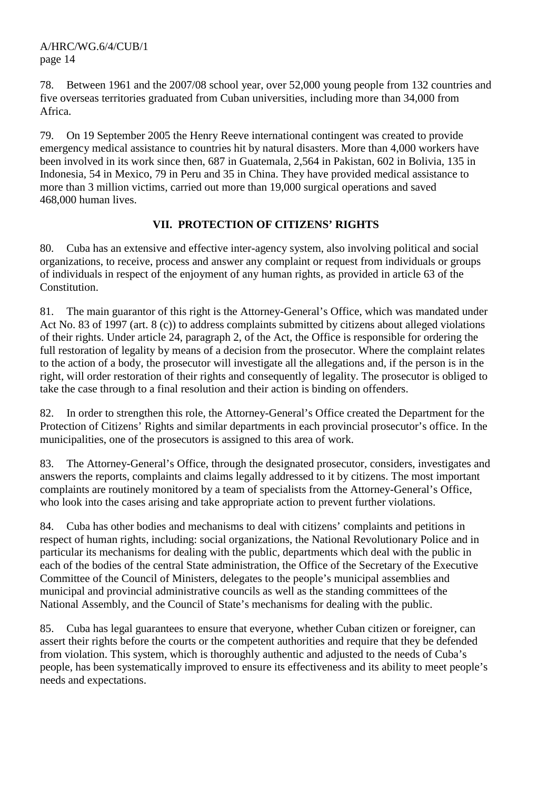78. Between 1961 and the 2007/08 school year, over 52,000 young people from 132 countries and five overseas territories graduated from Cuban universities, including more than 34,000 from Africa.

79. On 19 September 2005 the Henry Reeve international contingent was created to provide emergency medical assistance to countries hit by natural disasters. More than 4,000 workers have been involved in its work since then, 687 in Guatemala, 2,564 in Pakistan, 602 in Bolivia, 135 in Indonesia, 54 in Mexico, 79 in Peru and 35 in China. They have provided medical assistance to more than 3 million victims, carried out more than 19,000 surgical operations and saved 468,000 human lives.

## **VII. PROTECTION OF CITIZENS' RIGHTS**

80. Cuba has an extensive and effective inter-agency system, also involving political and social organizations, to receive, process and answer any complaint or request from individuals or groups of individuals in respect of the enjoyment of any human rights, as provided in article 63 of the Constitution.

81. The main guarantor of this right is the Attorney-General's Office, which was mandated under Act No. 83 of 1997 (art. 8 (c)) to address complaints submitted by citizens about alleged violations of their rights. Under article 24, paragraph 2, of the Act, the Office is responsible for ordering the full restoration of legality by means of a decision from the prosecutor. Where the complaint relates to the action of a body, the prosecutor will investigate all the allegations and, if the person is in the right, will order restoration of their rights and consequently of legality. The prosecutor is obliged to take the case through to a final resolution and their action is binding on offenders.

82. In order to strengthen this role, the Attorney-General's Office created the Department for the Protection of Citizens' Rights and similar departments in each provincial prosecutor's office. In the municipalities, one of the prosecutors is assigned to this area of work.

83. The Attorney-General's Office, through the designated prosecutor, considers, investigates and answers the reports, complaints and claims legally addressed to it by citizens. The most important complaints are routinely monitored by a team of specialists from the Attorney-General's Office, who look into the cases arising and take appropriate action to prevent further violations.

84. Cuba has other bodies and mechanisms to deal with citizens' complaints and petitions in respect of human rights, including: social organizations, the National Revolutionary Police and in particular its mechanisms for dealing with the public, departments which deal with the public in each of the bodies of the central State administration, the Office of the Secretary of the Executive Committee of the Council of Ministers, delegates to the people's municipal assemblies and municipal and provincial administrative councils as well as the standing committees of the National Assembly, and the Council of State's mechanisms for dealing with the public.

85. Cuba has legal guarantees to ensure that everyone, whether Cuban citizen or foreigner, can assert their rights before the courts or the competent authorities and require that they be defended from violation. This system, which is thoroughly authentic and adjusted to the needs of Cuba's people, has been systematically improved to ensure its effectiveness and its ability to meet people's needs and expectations.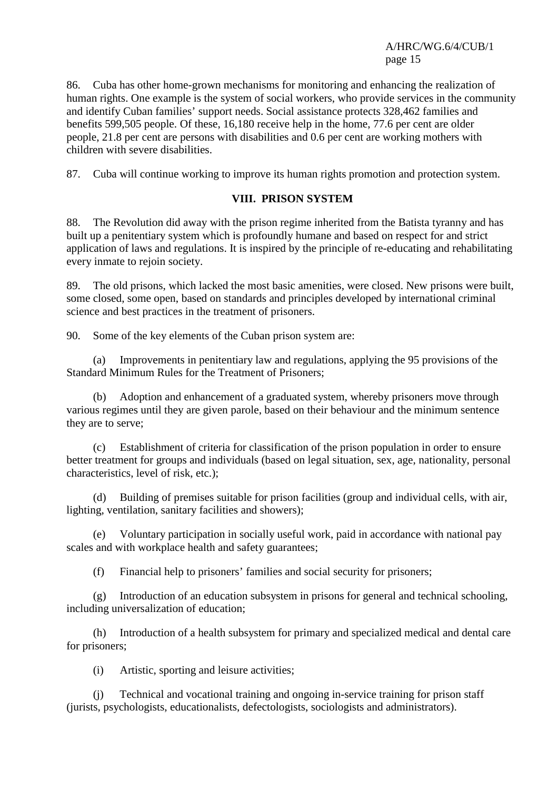86. Cuba has other home-grown mechanisms for monitoring and enhancing the realization of human rights. One example is the system of social workers, who provide services in the community and identify Cuban families' support needs. Social assistance protects 328,462 families and benefits 599,505 people. Of these, 16,180 receive help in the home, 77.6 per cent are older people, 21.8 per cent are persons with disabilities and 0.6 per cent are working mothers with children with severe disabilities.

87. Cuba will continue working to improve its human rights promotion and protection system.

### **VIII. PRISON SYSTEM**

88. The Revolution did away with the prison regime inherited from the Batista tyranny and has built up a penitentiary system which is profoundly humane and based on respect for and strict application of laws and regulations. It is inspired by the principle of re-educating and rehabilitating every inmate to rejoin society.

89. The old prisons, which lacked the most basic amenities, were closed. New prisons were built, some closed, some open, based on standards and principles developed by international criminal science and best practices in the treatment of prisoners.

90. Some of the key elements of the Cuban prison system are:

 (a) Improvements in penitentiary law and regulations, applying the 95 provisions of the Standard Minimum Rules for the Treatment of Prisoners;

 (b) Adoption and enhancement of a graduated system, whereby prisoners move through various regimes until they are given parole, based on their behaviour and the minimum sentence they are to serve;

 (c) Establishment of criteria for classification of the prison population in order to ensure better treatment for groups and individuals (based on legal situation, sex, age, nationality, personal characteristics, level of risk, etc.);

 (d) Building of premises suitable for prison facilities (group and individual cells, with air, lighting, ventilation, sanitary facilities and showers);

 (e) Voluntary participation in socially useful work, paid in accordance with national pay scales and with workplace health and safety guarantees;

(f) Financial help to prisoners' families and social security for prisoners;

 (g) Introduction of an education subsystem in prisons for general and technical schooling, including universalization of education;

 (h) Introduction of a health subsystem for primary and specialized medical and dental care for prisoners;

(i) Artistic, sporting and leisure activities;

 (j) Technical and vocational training and ongoing in-service training for prison staff (jurists, psychologists, educationalists, defectologists, sociologists and administrators).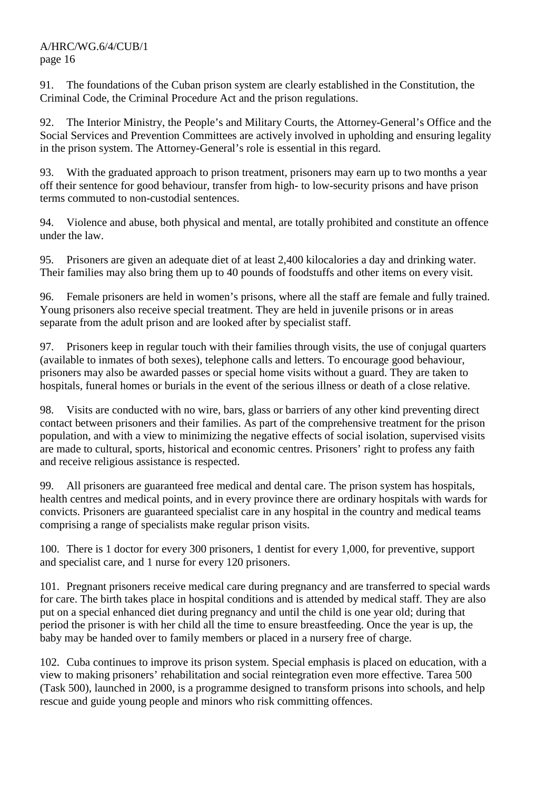91. The foundations of the Cuban prison system are clearly established in the Constitution, the Criminal Code, the Criminal Procedure Act and the prison regulations.

92. The Interior Ministry, the People's and Military Courts, the Attorney-General's Office and the Social Services and Prevention Committees are actively involved in upholding and ensuring legality in the prison system. The Attorney-General's role is essential in this regard.

93. With the graduated approach to prison treatment, prisoners may earn up to two months a year off their sentence for good behaviour, transfer from high- to low-security prisons and have prison terms commuted to non-custodial sentences.

94. Violence and abuse, both physical and mental, are totally prohibited and constitute an offence under the law.

95. Prisoners are given an adequate diet of at least 2,400 kilocalories a day and drinking water. Their families may also bring them up to 40 pounds of foodstuffs and other items on every visit.

96. Female prisoners are held in women's prisons, where all the staff are female and fully trained. Young prisoners also receive special treatment. They are held in juvenile prisons or in areas separate from the adult prison and are looked after by specialist staff.

97. Prisoners keep in regular touch with their families through visits, the use of conjugal quarters (available to inmates of both sexes), telephone calls and letters. To encourage good behaviour, prisoners may also be awarded passes or special home visits without a guard. They are taken to hospitals, funeral homes or burials in the event of the serious illness or death of a close relative.

98. Visits are conducted with no wire, bars, glass or barriers of any other kind preventing direct contact between prisoners and their families. As part of the comprehensive treatment for the prison population, and with a view to minimizing the negative effects of social isolation, supervised visits are made to cultural, sports, historical and economic centres. Prisoners' right to profess any faith and receive religious assistance is respected.

99. All prisoners are guaranteed free medical and dental care. The prison system has hospitals, health centres and medical points, and in every province there are ordinary hospitals with wards for convicts. Prisoners are guaranteed specialist care in any hospital in the country and medical teams comprising a range of specialists make regular prison visits.

100. There is 1 doctor for every 300 prisoners, 1 dentist for every 1,000, for preventive, support and specialist care, and 1 nurse for every 120 prisoners.

101. Pregnant prisoners receive medical care during pregnancy and are transferred to special wards for care. The birth takes place in hospital conditions and is attended by medical staff. They are also put on a special enhanced diet during pregnancy and until the child is one year old; during that period the prisoner is with her child all the time to ensure breastfeeding. Once the year is up, the baby may be handed over to family members or placed in a nursery free of charge.

102. Cuba continues to improve its prison system. Special emphasis is placed on education, with a view to making prisoners' rehabilitation and social reintegration even more effective. Tarea 500 (Task 500), launched in 2000, is a programme designed to transform prisons into schools, and help rescue and guide young people and minors who risk committing offences.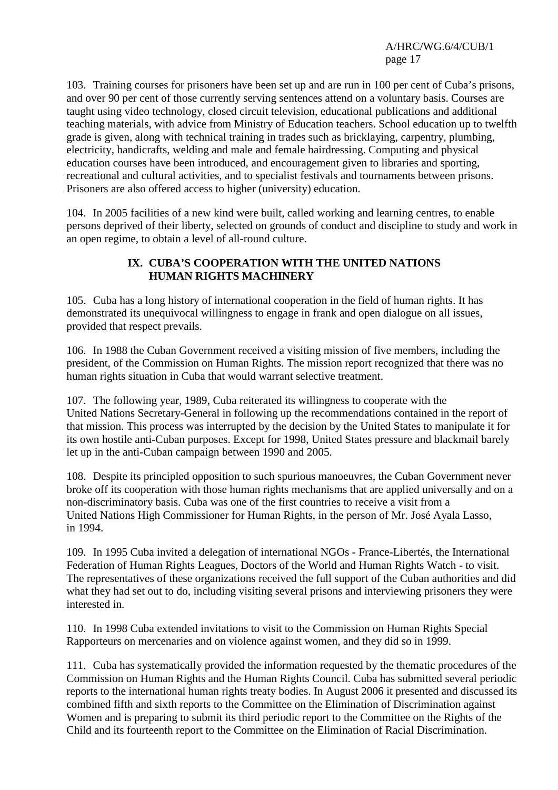103. Training courses for prisoners have been set up and are run in 100 per cent of Cuba's prisons, and over 90 per cent of those currently serving sentences attend on a voluntary basis. Courses are taught using video technology, closed circuit television, educational publications and additional teaching materials, with advice from Ministry of Education teachers. School education up to twelfth grade is given, along with technical training in trades such as bricklaying, carpentry, plumbing, electricity, handicrafts, welding and male and female hairdressing. Computing and physical education courses have been introduced, and encouragement given to libraries and sporting, recreational and cultural activities, and to specialist festivals and tournaments between prisons. Prisoners are also offered access to higher (university) education.

104. In 2005 facilities of a new kind were built, called working and learning centres, to enable persons deprived of their liberty, selected on grounds of conduct and discipline to study and work in an open regime, to obtain a level of all-round culture.

### **IX. CUBA'S COOPERATION WITH THE UNITED NATIONS HUMAN RIGHTS MACHINERY**

105. Cuba has a long history of international cooperation in the field of human rights. It has demonstrated its unequivocal willingness to engage in frank and open dialogue on all issues, provided that respect prevails.

106. In 1988 the Cuban Government received a visiting mission of five members, including the president, of the Commission on Human Rights. The mission report recognized that there was no human rights situation in Cuba that would warrant selective treatment.

107. The following year, 1989, Cuba reiterated its willingness to cooperate with the United Nations Secretary-General in following up the recommendations contained in the report of that mission. This process was interrupted by the decision by the United States to manipulate it for its own hostile anti-Cuban purposes. Except for 1998, United States pressure and blackmail barely let up in the anti-Cuban campaign between 1990 and 2005.

108. Despite its principled opposition to such spurious manoeuvres, the Cuban Government never broke off its cooperation with those human rights mechanisms that are applied universally and on a non-discriminatory basis. Cuba was one of the first countries to receive a visit from a United Nations High Commissioner for Human Rights, in the person of Mr. José Ayala Lasso, in 1994.

109. In 1995 Cuba invited a delegation of international NGOs - France-Libertés, the International Federation of Human Rights Leagues, Doctors of the World and Human Rights Watch - to visit. The representatives of these organizations received the full support of the Cuban authorities and did what they had set out to do, including visiting several prisons and interviewing prisoners they were interested in.

110. In 1998 Cuba extended invitations to visit to the Commission on Human Rights Special Rapporteurs on mercenaries and on violence against women, and they did so in 1999.

111. Cuba has systematically provided the information requested by the thematic procedures of the Commission on Human Rights and the Human Rights Council. Cuba has submitted several periodic reports to the international human rights treaty bodies. In August 2006 it presented and discussed its combined fifth and sixth reports to the Committee on the Elimination of Discrimination against Women and is preparing to submit its third periodic report to the Committee on the Rights of the Child and its fourteenth report to the Committee on the Elimination of Racial Discrimination.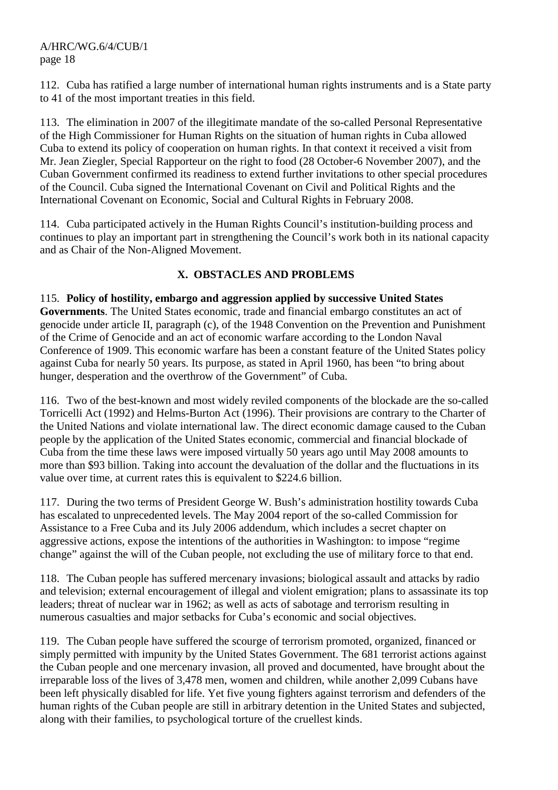112. Cuba has ratified a large number of international human rights instruments and is a State party to 41 of the most important treaties in this field.

113. The elimination in 2007 of the illegitimate mandate of the so-called Personal Representative of the High Commissioner for Human Rights on the situation of human rights in Cuba allowed Cuba to extend its policy of cooperation on human rights. In that context it received a visit from Mr. Jean Ziegler, Special Rapporteur on the right to food (28 October-6 November 2007), and the Cuban Government confirmed its readiness to extend further invitations to other special procedures of the Council. Cuba signed the International Covenant on Civil and Political Rights and the International Covenant on Economic, Social and Cultural Rights in February 2008.

114. Cuba participated actively in the Human Rights Council's institution-building process and continues to play an important part in strengthening the Council's work both in its national capacity and as Chair of the Non-Aligned Movement.

## **X. OBSTACLES AND PROBLEMS**

115. **Policy of hostility, embargo and aggression applied by successive United States Governments**. The United States economic, trade and financial embargo constitutes an act of genocide under article II, paragraph (c), of the 1948 Convention on the Prevention and Punishment of the Crime of Genocide and an act of economic warfare according to the London Naval Conference of 1909. This economic warfare has been a constant feature of the United States policy against Cuba for nearly 50 years. Its purpose, as stated in April 1960, has been "to bring about hunger, desperation and the overthrow of the Government" of Cuba.

116. Two of the best-known and most widely reviled components of the blockade are the so-called Torricelli Act (1992) and Helms-Burton Act (1996). Their provisions are contrary to the Charter of the United Nations and violate international law. The direct economic damage caused to the Cuban people by the application of the United States economic, commercial and financial blockade of Cuba from the time these laws were imposed virtually 50 years ago until May 2008 amounts to more than \$93 billion. Taking into account the devaluation of the dollar and the fluctuations in its value over time, at current rates this is equivalent to \$224.6 billion.

117. During the two terms of President George W. Bush's administration hostility towards Cuba has escalated to unprecedented levels. The May 2004 report of the so-called Commission for Assistance to a Free Cuba and its July 2006 addendum, which includes a secret chapter on aggressive actions, expose the intentions of the authorities in Washington: to impose "regime change" against the will of the Cuban people, not excluding the use of military force to that end.

118. The Cuban people has suffered mercenary invasions; biological assault and attacks by radio and television; external encouragement of illegal and violent emigration; plans to assassinate its top leaders; threat of nuclear war in 1962; as well as acts of sabotage and terrorism resulting in numerous casualties and major setbacks for Cuba's economic and social objectives.

119. The Cuban people have suffered the scourge of terrorism promoted, organized, financed or simply permitted with impunity by the United States Government. The 681 terrorist actions against the Cuban people and one mercenary invasion, all proved and documented, have brought about the irreparable loss of the lives of 3,478 men, women and children, while another 2,099 Cubans have been left physically disabled for life. Yet five young fighters against terrorism and defenders of the human rights of the Cuban people are still in arbitrary detention in the United States and subjected, along with their families, to psychological torture of the cruellest kinds.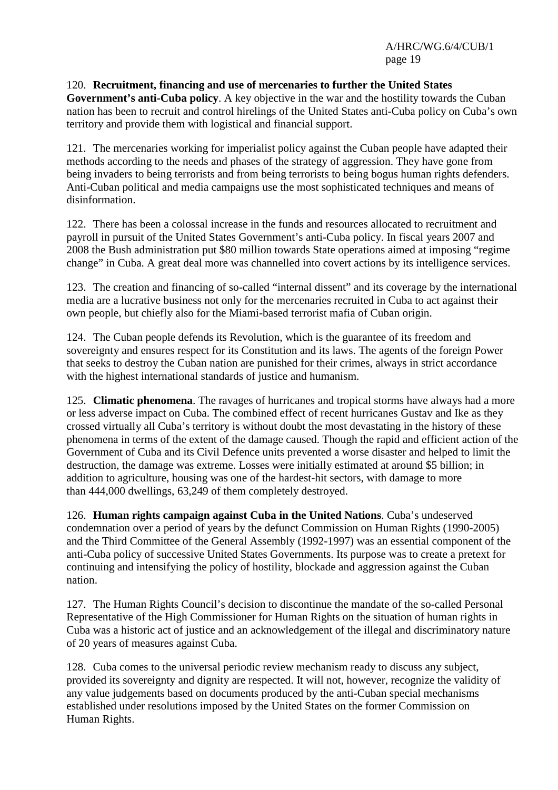## 120. **Recruitment, financing and use of mercenaries to further the United States**

**Government's anti-Cuba policy**. A key objective in the war and the hostility towards the Cuban nation has been to recruit and control hirelings of the United States anti-Cuba policy on Cuba's own territory and provide them with logistical and financial support.

121. The mercenaries working for imperialist policy against the Cuban people have adapted their methods according to the needs and phases of the strategy of aggression. They have gone from being invaders to being terrorists and from being terrorists to being bogus human rights defenders. Anti-Cuban political and media campaigns use the most sophisticated techniques and means of disinformation.

122. There has been a colossal increase in the funds and resources allocated to recruitment and payroll in pursuit of the United States Government's anti-Cuba policy. In fiscal years 2007 and 2008 the Bush administration put \$80 million towards State operations aimed at imposing "regime change" in Cuba. A great deal more was channelled into covert actions by its intelligence services.

123. The creation and financing of so-called "internal dissent" and its coverage by the international media are a lucrative business not only for the mercenaries recruited in Cuba to act against their own people, but chiefly also for the Miami-based terrorist mafia of Cuban origin.

124. The Cuban people defends its Revolution, which is the guarantee of its freedom and sovereignty and ensures respect for its Constitution and its laws. The agents of the foreign Power that seeks to destroy the Cuban nation are punished for their crimes, always in strict accordance with the highest international standards of justice and humanism.

125. **Climatic phenomena**. The ravages of hurricanes and tropical storms have always had a more or less adverse impact on Cuba. The combined effect of recent hurricanes Gustav and Ike as they crossed virtually all Cuba's territory is without doubt the most devastating in the history of these phenomena in terms of the extent of the damage caused. Though the rapid and efficient action of the Government of Cuba and its Civil Defence units prevented a worse disaster and helped to limit the destruction, the damage was extreme. Losses were initially estimated at around \$5 billion; in addition to agriculture, housing was one of the hardest-hit sectors, with damage to more than 444,000 dwellings, 63,249 of them completely destroyed.

126. **Human rights campaign against Cuba in the United Nations**. Cuba's undeserved condemnation over a period of years by the defunct Commission on Human Rights (1990-2005) and the Third Committee of the General Assembly (1992-1997) was an essential component of the anti-Cuba policy of successive United States Governments. Its purpose was to create a pretext for continuing and intensifying the policy of hostility, blockade and aggression against the Cuban nation.

127. The Human Rights Council's decision to discontinue the mandate of the so-called Personal Representative of the High Commissioner for Human Rights on the situation of human rights in Cuba was a historic act of justice and an acknowledgement of the illegal and discriminatory nature of 20 years of measures against Cuba.

128. Cuba comes to the universal periodic review mechanism ready to discuss any subject, provided its sovereignty and dignity are respected. It will not, however, recognize the validity of any value judgements based on documents produced by the anti-Cuban special mechanisms established under resolutions imposed by the United States on the former Commission on Human Rights.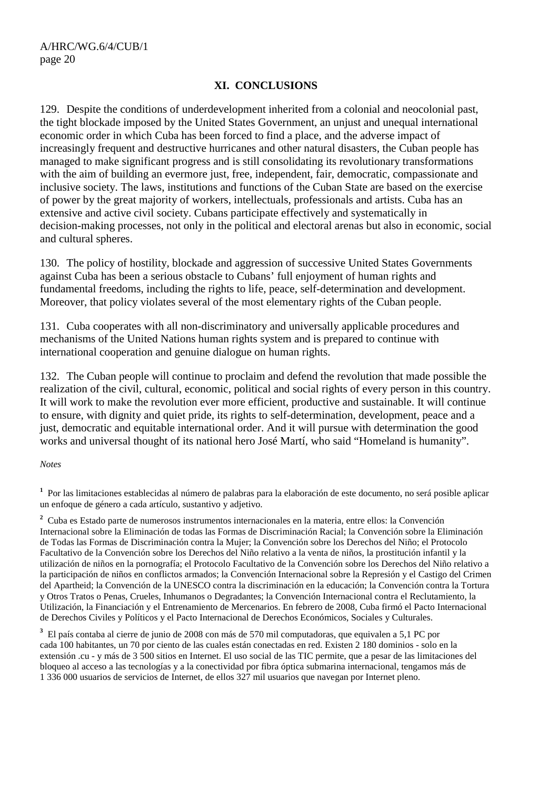#### **XI. CONCLUSIONS**

129. Despite the conditions of underdevelopment inherited from a colonial and neocolonial past, the tight blockade imposed by the United States Government, an unjust and unequal international economic order in which Cuba has been forced to find a place, and the adverse impact of increasingly frequent and destructive hurricanes and other natural disasters, the Cuban people has managed to make significant progress and is still consolidating its revolutionary transformations with the aim of building an evermore just, free, independent, fair, democratic, compassionate and inclusive society. The laws, institutions and functions of the Cuban State are based on the exercise of power by the great majority of workers, intellectuals, professionals and artists. Cuba has an extensive and active civil society. Cubans participate effectively and systematically in decision-making processes, not only in the political and electoral arenas but also in economic, social and cultural spheres.

130. The policy of hostility, blockade and aggression of successive United States Governments against Cuba has been a serious obstacle to Cubans' full enjoyment of human rights and fundamental freedoms, including the rights to life, peace, self-determination and development. Moreover, that policy violates several of the most elementary rights of the Cuban people.

131. Cuba cooperates with all non-discriminatory and universally applicable procedures and mechanisms of the United Nations human rights system and is prepared to continue with international cooperation and genuine dialogue on human rights.

132. The Cuban people will continue to proclaim and defend the revolution that made possible the realization of the civil, cultural, economic, political and social rights of every person in this country. It will work to make the revolution ever more efficient, productive and sustainable. It will continue to ensure, with dignity and quiet pride, its rights to self-determination, development, peace and a just, democratic and equitable international order. And it will pursue with determination the good works and universal thought of its national hero José Martí, who said "Homeland is humanity".

#### *Notes*

**1** Por las limitaciones establecidas al número de palabras para la elaboración de este documento, no será posible aplicar un enfoque de género a cada artículo, sustantivo y adjetivo.

**2** Cuba es Estado parte de numerosos instrumentos internacionales en la materia, entre ellos: la Convención Internacional sobre la Eliminación de todas las Formas de Discriminación Racial; la Convención sobre la Eliminación de Todas las Formas de Discriminación contra la Mujer; la Convención sobre los Derechos del Niño; el Protocolo Facultativo de la Convención sobre los Derechos del Niño relativo a la venta de niños, la prostitución infantil y la utilización de niños en la pornografía; el Protocolo Facultativo de la Convención sobre los Derechos del Niño relativo a la participación de niños en conflictos armados; la Convención Internacional sobre la Represión y el Castigo del Crimen del Apartheid; la Convención de la UNESCO contra la discriminación en la educación; la Convención contra la Tortura y Otros Tratos o Penas, Crueles, Inhumanos o Degradantes; la Convención Internacional contra el Reclutamiento, la Utilización, la Financiación y el Entrenamiento de Mercenarios. En febrero de 2008, Cuba firmó el Pacto Internacional de Derechos Civiles y Políticos y el Pacto Internacional de Derechos Económicos, Sociales y Culturales.

**3** El país contaba al cierre de junio de 2008 con más de 570 mil computadoras, que equivalen a 5,1 PC por cada 100 habitantes, un 70 por ciento de las cuales están conectadas en red. Existen 2 180 dominios - solo en la extensión .cu - y más de 3 500 sitios en Internet. El uso social de las TIC permite, que a pesar de las limitaciones del bloqueo al acceso a las tecnologías y a la conectividad por fibra óptica submarina internacional, tengamos más de 1 336 000 usuarios de servicios de Internet, de ellos 327 mil usuarios que navegan por Internet pleno.